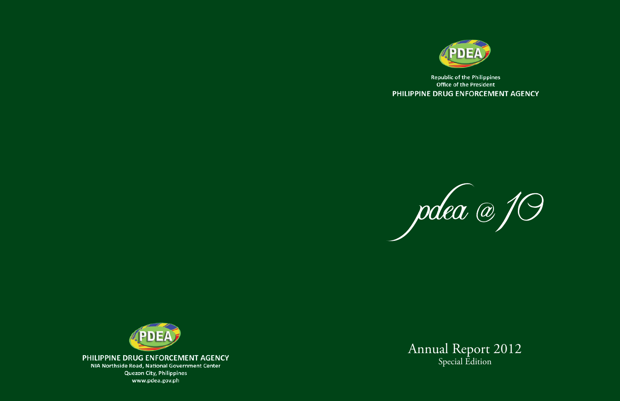

**Republic of the Philippines** Office of the President PHILIPPINE DRUG ENFORCEMENT AGENCY





PHILIPPINE DRUG ENFORCEMENT AGENCY

NIA Northside Road, National Government Center **Quezon City, Philippines** www.pdea.gov.ph